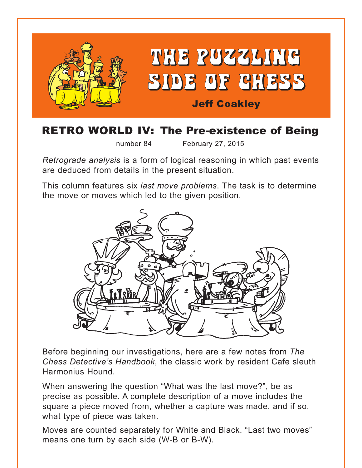

## RETRO WORLD IV: The Pre-existence of Being

number 84 February 27, 2015

*Retrograde analysis* is a form of logical reasoning in which past events are deduced from details in the present situation.

This column features six *last move problems*. The task is to determine the move or moves which led to the given position.



Before beginning our investigations, here are a few notes from *The Chess Detective's Handbook*, the classic work by resident Cafe sleuth Harmonius Hound.

When answering the question "What was the last move?", be as precise as possible. A complete description of a move includes the square a piece moved from, whether a capture was made, and if so, what type of piece was taken.

Moves are counted separately for White and Black. "Last two moves" means one turn by each side (W-B or B-W).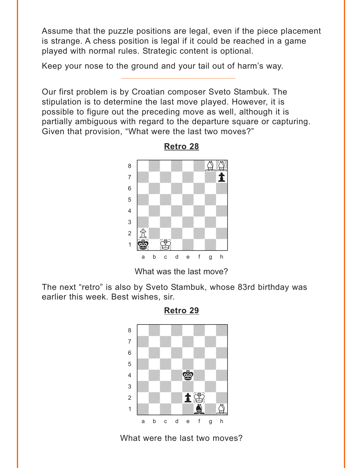<span id="page-1-0"></span>Assume that the puzzle positions are legal, even if the piece placement is strange. A chess position is legal if it could be reached in a game played with normal rules. Strategic content is optional.

Keep your nose to the ground and your tail out of harm's way.

Our first problem is by Croatian composer Sveto Stambuk. The stipulation is to determine the last move played. However, it is possible to figure out the preceding move as well, although it is partially ambiguous with regard to the departure square or capturing. Given that provision, "What were the last two moves?"



**[Retro 28](#page-4-0)**

What was the last move?

The next "retro" is also by Sveto Stambuk, whose 83rd birthday was earlier this week. Best wishes, sir.



**[Retro 29](#page-5-0)**

What were the last two moves?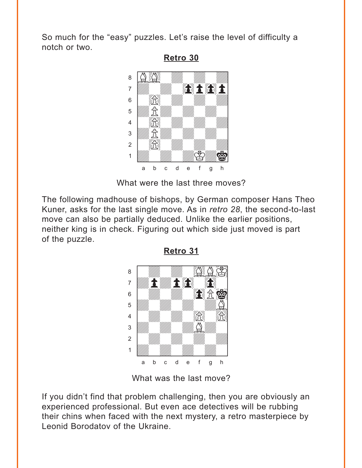<span id="page-2-0"></span>So much for the "easy" puzzles. Let's raise the level of difficulty a notch or two.

**[Retro 30](#page-5-0)**



What were the last three moves?

The following madhouse of bishops, by German composer Hans Theo Kuner, asks for the last single move. As in *retro 28*, the second-to-last move can also be partially deduced. Unlike the earlier positions, neither king is in check. Figuring out which side just moved is part of the puzzle.



**[Retro 31](#page-7-0)**

What was the last move?

If you didn't find that problem challenging, then you are obviously an experienced professional. But even ace detectives will be rubbing their chins when faced with the next mystery, a retro masterpiece by Leonid Borodatov of the Ukraine.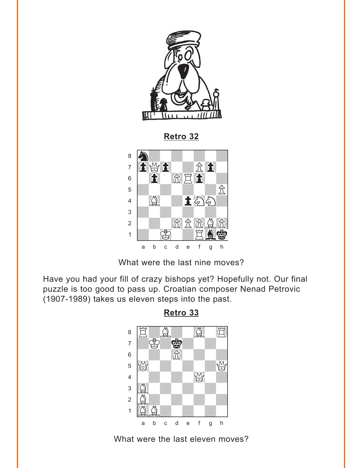<span id="page-3-0"></span>

**[Retro 32](#page-9-0)**



What were the last nine moves?

Have you had your fill of crazy bishops yet? Hopefully not. Our final puzzle is too good to pass up. Croatian composer Nenad Petrovic (1907-1989) takes us eleven steps into the past.

**[Retro 33](#page-13-0)**



What were the last eleven moves?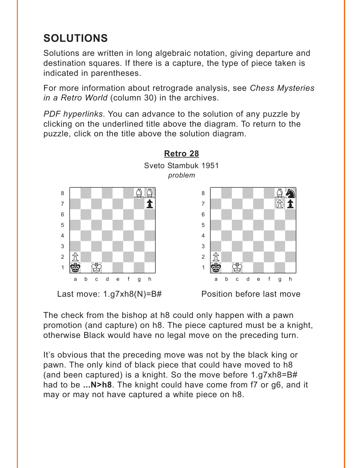# <span id="page-4-0"></span>**SOLUTIONS**

Solutions are written in long algebraic notation, giving departure and destination squares. If there is a capture, the type of piece taken is indicated in parentheses.

For more information about retrograde analysis, see *Chess Mysteries in a Retro World* (column 30) in the archives.

*PDF hyperlinks*. You can advance to the solution of any puzzle by clicking on the underlined title above the diagram. To return to the puzzle, click on the title above the solution diagram.



The check from the bishop at h8 could only happen with a pawn promotion (and capture) on h8. The piece captured must be a knight, otherwise Black would have no legal move on the preceding turn.

It's obvious that the preceding move was not by the black king or pawn. The only kind of black piece that could have moved to h8 (and been captured) is a knight. So the move before 1.g7xh8=B# had to be **...N>h8**. The knight could have come from f7 or g6, and it may or may not have captured a white piece on h8.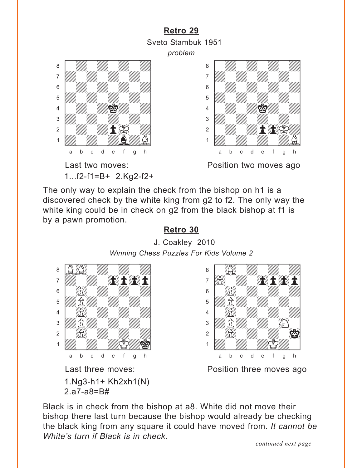<span id="page-5-0"></span>

The only way to explain the check from the bishop on h1 is a discovered check by the white king from g2 to f2. The only way the white king could be in check on g2 from the black bishop at f1 is by a pawn promotion.

#### **[Retro 30](#page-2-0)**

J. Coakley 2010 *Winning Chess Puzzles For Kids Volume 2*  w\_\_\_\_\_\_\_\_w w\_\_\_\_\_\_\_\_w



1.Ng3-h1+ Kh2xh1(N) 2.a7-a8=B#



Last three moves: **Example 2** Position three moves ago

Black is in check from the bishop at a8. White did not move their bishop there last turn because the bishop would already be checking the black king from any square it could have moved from. *It cannot be White's turn if Black is in check.*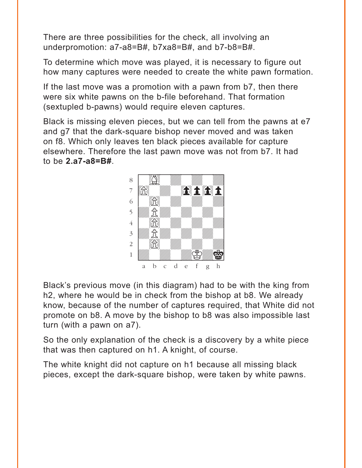There are three possibilities for the check, all involving an underpromotion: a7-a8=B#, b7xa8=B#, and b7-b8=B#.

To determine which move was played, it is necessary to figure out how many captures were needed to create the white pawn formation.

If the last move was a promotion with a pawn from b7, then there were six white pawns on the b-file beforehand. That formation (sextupled b-pawns) would require eleven captures.

Black is missing eleven pieces, but we can tell from the pawns at e7 and g7 that the dark-square bishop never moved and was taken on f8. Which only leaves ten black pieces available for capture elsewhere. Therefore the last pawn move was not from b7. It had to be **2.a7-a8=B#**.



Black's previous move (in this diagram) had to be with the king from h2, where he would be in check from the bishop at b8. We already know, because of the number of captures required, that White did not promote on b8. A move by the bishop to b8 was also impossible last turn (with a pawn on a7).

So the only explanation of the check is a discovery by a white piece that was then captured on h1. A knight, of course.

The white knight did not capture on h1 because all missing black pieces, except the dark-square bishop, were taken by white pawns.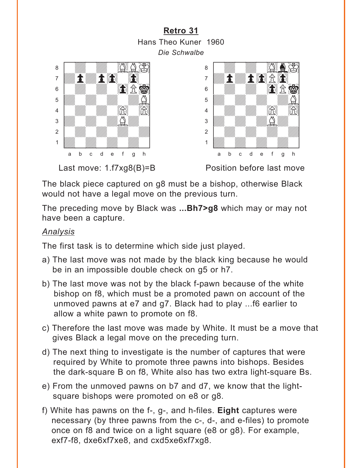<span id="page-7-0"></span>**[Retro 31](#page-2-0)** Hans Theo Kuner 1960 *Die Schwalbe* Last move: 1.f7xg8(B)=B Position before last move where  $\frac{1}{2}$ 8 | *William William S*erver Booth  $\overline{\mathbf{a}}$  and  $\mathbf{b}$  with  $\mathbf{b}$  with  $\mathbf{b}$  $\mathbf{S}$  with the set of  $\mathbf{R}$  $\mathcal{F}=\mathcal{F}=\mathcal{F}=\mathcal{F}=\mathcal{F}=\mathcal{F}=\mathcal{F}=\mathcal{F}=\mathcal{F}=\mathcal{F}=\mathcal{F}=\mathcal{F}=\mathcal{F}=\mathcal{F}=\mathcal{F}=\mathcal{F}=\mathcal{F}=\mathcal{F}=\mathcal{F}=\mathcal{F}=\mathcal{F}=\mathcal{F}=\mathcal{F}=\mathcal{F}=\mathcal{F}=\mathcal{F}=\mathcal{F}=\mathcal{F}=\mathcal{F}=\mathcal{F}=\mathcal{F}=\mathcal{F}=\mathcal{F}=\mathcal{F}=\mathcal{F}=\mathcal{F}=\mathcal{$  $\frac{4}{\sqrt{2}}$  with  $\frac{1}{\sqrt{2}}$ 3 *William William Selling* 2 | *William William William William William William William William William William William William William William W* 1 *Údwarf William William William William William William William William William William William William William W* a b c d e f g h  $\frac{1}{2}$  with  $\frac{1}{2}$  with  $\frac{1}{2}$  with  $\frac{1}{2}$  with  $\frac{1}{2}$  with  $\frac{1}{2}$  $\frac{1}{2}$   $\frac{1}{2}$ **book and the post of the first series of the post of the contract of the contract of the contract of the contract of the contract of the contract of the contract of the contract of the contract of the contract of the cont**  $\delta$  /  $\mathscr{W}$   $\mathscr{W}$   $\mathscr{R}$  $\mathcal{F}=\mathcal{F}=\mathcal{F}=\mathcal{F}=\mathcal{F}=\mathcal{F}=\mathcal{F}=\mathcal{F}=\mathcal{F}=\mathcal{F}=\mathcal{F}=\mathcal{F}=\mathcal{F}=\mathcal{F}=\mathcal{F}=\mathcal{F}=\mathcal{F}=\mathcal{F}=\mathcal{F}=\mathcal{F}=\mathcal{F}=\mathcal{F}=\mathcal{F}=\mathcal{F}=\mathcal{F}=\mathcal{F}=\mathcal{F}=\mathcal{F}=\mathcal{F}=\mathcal{F}=\mathcal{F}=\mathcal{F}=\mathcal{F}=\mathcal{F}=\mathcal{F}=\mathcal{F}=\mathcal{$  $\frac{4}{\sqrt{2}}$  with  $\frac{1}{\sqrt{2}}$ 3 *William William Selling* 2 | *William William William William William William William William William William William William William William W* 1 *Údwarf William William William William William William William William William William William William William W* a b c d e f g h



The preceding move by Black was **...Bh7>g8** which may or may not have been a capture.

#### *Analysis*

The first task is to determine which side just played.

- a) The last move was not made by the black king because he would be in an impossible double check on g5 or h7.
- b) The last move was not by the black f-pawn because of the white bishop on f8, which must be a promoted pawn on account of the unmoved pawns at e7 and g7. Black had to play ...f6 earlier to allow a white pawn to promote on f8.
- c) Therefore the last move was made by White. It must be a move that gives Black a legal move on the preceding turn.
- d) The next thing to investigate is the number of captures that were required by White to promote three pawns into bishops. Besides the dark-square B on f8, White also has two extra light-square Bs.
- e) From the unmoved pawns on b7 and d7, we know that the lightsquare bishops were promoted on e8 or g8.
- f) White has pawns on the f-, g-, and h-files. **Eight** captures were necessary (by three pawns from the c-, d-, and e-files) to promote once on f8 and twice on a light square (e8 or g8). For example, exf7-f8, dxe6xf7xe8, and cxd5xe6xf7xg8.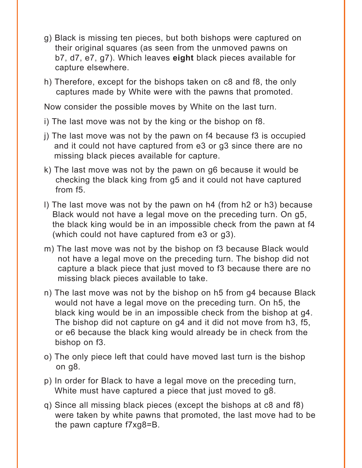- g) Black is missing ten pieces, but both bishops were captured on their original squares (as seen from the unmoved pawns on b7, d7, e7, g7). Which leaves **eight** black pieces available for capture elsewhere.
- h) Therefore, except for the bishops taken on c8 and f8, the only captures made by White were with the pawns that promoted.

Now consider the possible moves by White on the last turn.

i) The last move was not by the king or the bishop on f8.

- j) The last move was not by the pawn on f4 because f3 is occupied and it could not have captured from e3 or g3 since there are no missing black pieces available for capture.
- k) The last move was not by the pawn on g6 because it would be checking the black king from g5 and it could not have captured from f5.
- l) The last move was not by the pawn on h4 (from h2 or h3) because Black would not have a legal move on the preceding turn. On g5, the black king would be in an impossible check from the pawn at f4 (which could not have captured from e3 or g3).
- m) The last move was not by the bishop on f3 because Black would not have a legal move on the preceding turn. The bishop did not capture a black piece that just moved to f3 because there are no missing black pieces available to take.
- n) The last move was not by the bishop on h5 from g4 because Black would not have a legal move on the preceding turn. On h5, the black king would be in an impossible check from the bishop at g4. The bishop did not capture on g4 and it did not move from h3, f5, or e6 because the black king would already be in check from the bishop on f3.
- o) The only piece left that could have moved last turn is the bishop on g8.
- p) In order for Black to have a legal move on the preceding turn, White must have captured a piece that just moved to g8.
- q) Since all missing black pieces (except the bishops at c8 and f8) were taken by white pawns that promoted, the last move had to be the pawn capture f7xg8=B.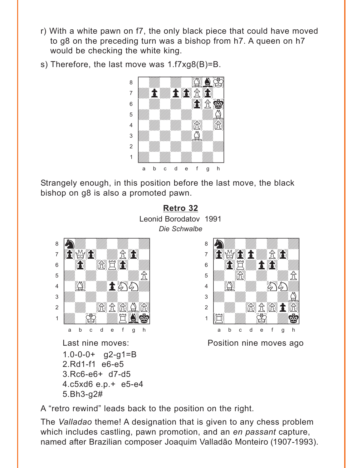- <span id="page-9-0"></span>r) With a white pawn on f7, the only black piece that could have moved to g8 on the preceding turn was a bishop from h7. A queen on h7 would be checking the white king.
- s) Therefore, the last move was 1.f7xg8(B)=B.



Strangely enough, in this position before the last move, the black bishop on g8 is also a promoted pawn.

**[Retro 32](#page-3-0)** Leonid Borodatov 1991 *Die Schwalbe*





Last nine moves: **Example 2** Position nine moves ago

A "retro rewind" leads back to the position on the right.

The *Valladao* theme! A designation that is given to any chess problem which includes castling, pawn promotion, and an *en passant* capture, named after Brazilian composer Joaquim Valladão Monteiro (1907-1993).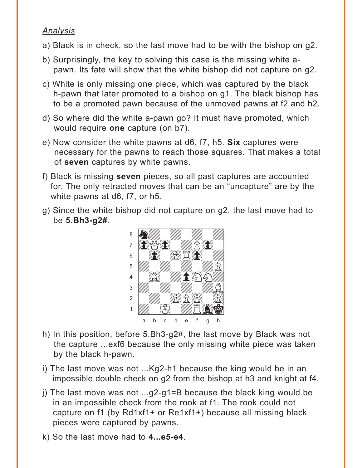#### *Analysis*

- a) Black is in check, so the last move had to be with the bishop on g2.
- b) Surprisingly, the key to solving this case is the missing white apawn. Its fate will show that the white bishop did not capture on g2.
- c) White is only missing one piece, which was captured by the black h-pawn that later promoted to a bishop on g1. The black bishop has to be a promoted pawn because of the unmoved pawns at f2 and h2.
- d) So where did the white a-pawn go? It must have promoted, which would require **one** capture (on b7).
- e) Now consider the white pawns at d6, f7, h5. **Six** captures were necessary for the pawns to reach those squares. That makes a total of **seven** captures by white pawns.
- f) Black is missing **seven** pieces, so all past captures are accounted for. The only retracted moves that can be an "uncapture" are by the white pawns at d6, f7, or h5.
- g) Since the white bishop did not capture on g2, the last move had to be **5.Bh3-g2#**. with the set of the set of the set of the set of the set of the set of the set of the set of the set of the set of the set of the set of the set of the set of the set of the set of the set of the set of the set of the set



- h) In this position, before 5.Bh3-g2#, the last move by Black was not the capture ...exf6 because the only missing white piece was taken by the black h-pawn.
- i) The last move was not ...Kg2-h1 because the king would be in an impossible double check on g2 from the bishop at h3 and knight at f4.
- j) The last move was not  $...g2-g1=B$  because the black king would be in an impossible check from the rook at f1. The rook could not capture on f1 (by Rd1xf1+ or Re1xf1+) because all missing black pieces were captured by pawns.
- k) So the last move had to **4...e5-e4**.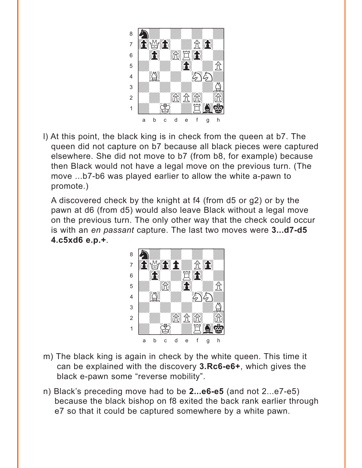

l) At this point, the black king is in check from the queen at b7. The queen did not capture on b7 because all black pieces were captured elsewhere. She did not move to b7 (from b8, for example) because then Black would not have a legal move on the previous turn. (The move ...b7-b6 was played earlier to allow the white a-pawn to promote.)

A discovered check by the knight at f4 (from d5 or g2) or by the pawn at d6 (from d5) would also leave Black without a legal move on the previous turn. The only other way that the check could occur is with an *en passant* capture. The last two moves were **3...d7-d5 4.c5xd6 e.p.+**. with the set of the set of the set of the set of the set of the set of the set of the set of the set of the set of the set of the set of the set of the set of the set of the set of the set of the set of the set of the set



- m) The black king is again in check by the white queen. This time it can be explained with the discovery **3.Rc6-e6+**, which gives the black e-pawn some "reverse mobility".
- n) Black's preceding move had to be **2...e6-e5** (and not 2...e7-e5) because the black bishop on f8 exited the back rank earlier through e7 so that it could be captured somewhere by a white pawn.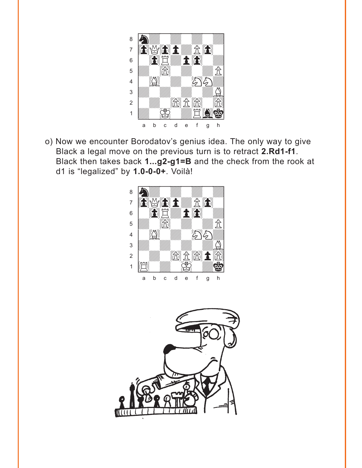

o) Now we encounter Borodatov's genius idea. The only way to give Black a legal move on the previous turn is to retract **2.Rd1-f1**. Black then takes back **1...g2-g1=B** and the check from the rook at d1 is "legalized" by **1.0-0-0+**. Voilà!



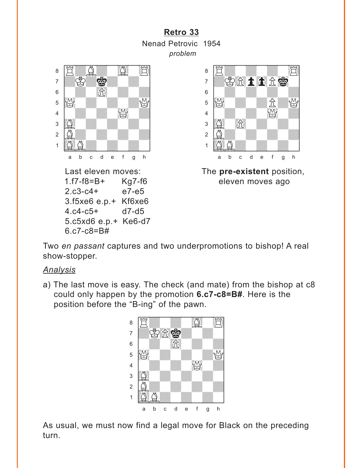#### **[Retro 33](#page-3-0)** Nenad Petrovic 1954 *problem*

<span id="page-13-0"></span>

6.c7-c8=B#



Last eleven moves: The **pre-existent** position,

Two *en passant* captures and two underpromotions to bishop! A real show-stopper.

#### *Analysis*

a) The last move is easy. The check (and mate) from the bishop at c8 could only happen by the promotion **6.c7-c8=B#**. Here is the position before the "B-ing" of the pawn.



As usual, we must now find a legal move for Black on the preceding turn.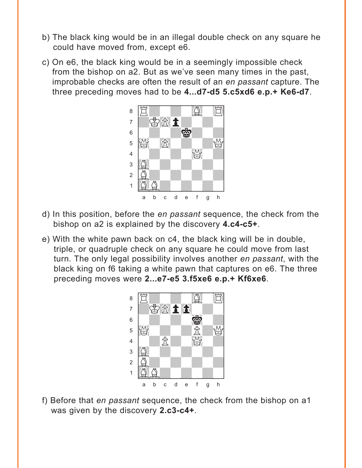- b) The black king would be in an illegal double check on any square he could have moved from, except e6.
- c) On e6, the black king would be in a seemingly impossible check from the bishop on a2. But as we've seen many times in the past, improbable checks are often the result of an *en passant* capture. The three preceding moves had to be **4...d7-d5 5.c5xd6 e.p.+ Ke6-d7**.



- d) In this position, before the *en passant* sequence, the check from the bishop on a2 is explained by the discovery **4.c4-c5+**.
- e) With the white pawn back on c4, the black king will be in double, triple, or quadruple check on any square he could move from last turn. The only legal possibility involves another *en passant*, with the black king on f6 taking a white pawn that captures on e6. The three preceding moves were **2...e7-e5 3.f5xe6 e.p.+ Kf6xe6**.



f) Before that *en passant* sequence, the check from the bishop on a1 was given by the discovery **2.c3-c4+**.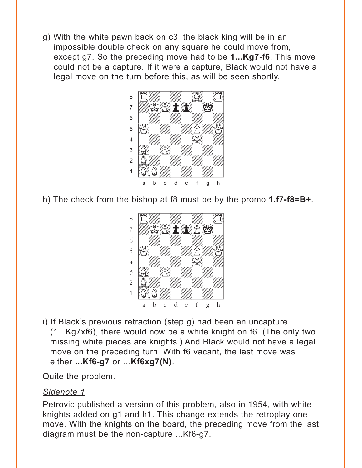g) With the white pawn back on c3, the black king will be in an impossible double check on any square he could move from, except g7. So the preceding move had to be **1...Kg7-f6**. This move could not be a capture. If it were a capture, Black would not have a legal move on the turn before this, as will be seen shortly.



h) The check from the bishop at f8 must be by the promo **1.f7-f8=B+**.



i) If Black's previous retraction (step g) had been an uncapture (1...Kg7xf6), there would now be a white knight on f6. (The only two missing white pieces are knights.) And Black would not have a legal move on the preceding turn. With f6 vacant, the last move was either **...Kf6-g7** or ...**Kf6xg7(N)**.

Quite the problem.

#### *Sidenote 1*

Petrovic published a version of this problem, also in 1954, with white knights added on g1 and h1. This change extends the retroplay one move. With the knights on the board, the preceding move from the last diagram must be the non-capture ...Kf6-g7.